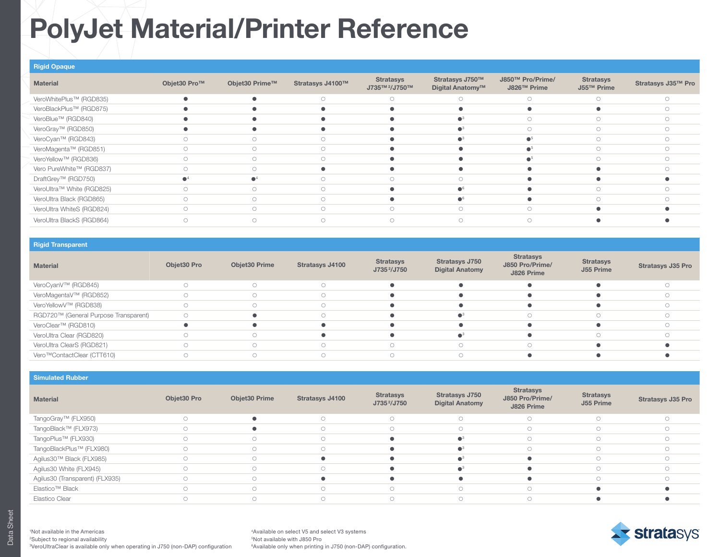# PolyJet Material/Printer Reference

| <b>Rigid Opaque</b>       |              |                |                  |                                               |                                     |                                 |                                |                    |
|---------------------------|--------------|----------------|------------------|-----------------------------------------------|-------------------------------------|---------------------------------|--------------------------------|--------------------|
| <b>Material</b>           | Objet30 Pro™ | Objet30 Prime™ | Stratasys J4100™ | <b>Stratasys</b><br>J735™ <sup>2</sup> /J750™ | Stratasys J750™<br>Digital Anatomy™ | J850™ Pro/Prime/<br>J826™ Prime | <b>Stratasys</b><br>J55™ Prime | Stratasys J35™ Pro |
| VeroWhitePlus™ (RGD835)   |              |                | $\bigcirc$       | $\circ$                                       | $\circ$                             | $\circ$                         | $\bigcirc$                     | $\bigcirc$         |
| VeroBlackPlus™ (RGD875)   |              |                |                  |                                               |                                     |                                 |                                | $\bigcirc$         |
| VeroBlue™ (RGD840)        |              |                |                  |                                               |                                     | $\bigcirc$                      | $\bigcirc$                     |                    |
| VeroGray™ (RGD850)        |              |                |                  |                                               | ●3                                  | $\circ$                         | $\bigcirc$                     | $\bigcirc$         |
| VeroCyan™ (RGD843)        |              | ∩              | $\bigcap$        |                                               | ∼                                   |                                 | $\bigcirc$                     | $\cap$             |
| VeroMagenta™ (RGD851)     |              |                |                  |                                               |                                     |                                 | $\bigcap$                      |                    |
| VeroYellow™ (RGD836)      |              | $\bigcirc$     | $\bigcirc$       |                                               |                                     |                                 | $\bigcirc$                     | $\bigcirc$         |
| Vero PureWhite™ (RGD837)  | ∩            | ∩              |                  |                                               |                                     |                                 |                                |                    |
| DraftGrey™ (RGD750)       |              |                | $\bigcirc$       | $\bigcirc$                                    | $\bigcirc$                          |                                 |                                |                    |
| VeroUltra™ White (RGD825) |              |                | $\bigcirc$       |                                               |                                     |                                 | $\bigcirc$                     |                    |
| VeroUltra Black (RGD865)  | $\bigcirc$   | $\bigcirc$     | $\bigcirc$       |                                               |                                     |                                 | $\bigcirc$                     | $\cap$             |
| VeroUltra WhiteS (RGD824) | $\cap$       | $\bigcirc$     | $\bigcirc$       | $\bigcirc$                                    | $\bigcirc$                          | $\bigcap$                       |                                |                    |
| VeroUltra BlackS (RGD864) | $\bigcirc$   | $\bigcirc$     | $\bigcirc$       | $\bigcirc$                                    | $\bigcirc$                          | $\bigcirc$                      |                                |                    |

### Rigid Transparent

| <b>Material</b>                         | Objet30 Pro | Objet30 Prime | Stratasys J4100 | <b>Stratasys</b><br>J735 <sup>2</sup> /J750 | Stratasys J750<br><b>Digital Anatomy</b> | <b>Stratasys</b><br>J850 Pro/Prime/<br>J826 Prime | <b>Stratasys</b><br>J55 Prime | <b>Stratasys J35 Pro</b> |
|-----------------------------------------|-------------|---------------|-----------------|---------------------------------------------|------------------------------------------|---------------------------------------------------|-------------------------------|--------------------------|
| VeroCyanV™ (RGD845)                     |             |               | $\subset$       |                                             |                                          |                                                   |                               |                          |
| VeroMagentaV™ (RGD852)                  |             |               |                 |                                             |                                          |                                                   |                               |                          |
| VeroYellowV™ (RGD838)                   |             |               |                 |                                             |                                          |                                                   |                               |                          |
| RGD720™ (General Purpose Transparent)   | $\cap$      |               |                 |                                             |                                          |                                                   |                               |                          |
| VeroClear™ (RGD810)                     |             |               |                 |                                             |                                          |                                                   |                               |                          |
| VeroUltra Clear (RGD820)                |             |               |                 |                                             |                                          |                                                   |                               |                          |
| VeroUltra ClearS (RGD821)               |             |               |                 | $\bigcirc$                                  | $\bigcirc$                               |                                                   |                               |                          |
| Vero <sup>™</sup> ContactClear (CTT610) |             |               |                 | $\cap$                                      |                                          |                                                   |                               |                          |

Simulated Rubber

| <b>Material</b>                 | Objet30 Pro | Objet30 Prime | Stratasys J4100 | <b>Stratasys</b><br>J735 <sup>2</sup> /J750 | Stratasys J750<br><b>Digital Anatomy</b> | <b>Stratasys</b><br>J850 Pro/Prime/<br>J826 Prime | <b>Stratasys</b><br>J55 Prime | <b>Stratasys J35 Pro</b> |
|---------------------------------|-------------|---------------|-----------------|---------------------------------------------|------------------------------------------|---------------------------------------------------|-------------------------------|--------------------------|
| TangoGray™ (FLX950)             |             |               | $\bigcirc$      | $\bigcirc$                                  | $\bigcirc$                               | $\bigcirc$                                        | $\bigcirc$                    |                          |
| TangoBlack™ (FLX973)            |             |               |                 | $\bigcap$                                   | O.                                       | $\bigcirc$                                        | $\bigcap$                     |                          |
| TangoPlus™ (FLX930)             |             |               | $\bigcap$       |                                             |                                          |                                                   |                               |                          |
| TangoBlackPlus™ (FLX980)        |             |               | $\bigcirc$      |                                             |                                          |                                                   | $\bigcirc$                    |                          |
| Agilus30™ Black (FLX985)        |             |               |                 |                                             |                                          |                                                   | $\bigcirc$                    |                          |
| Agilus30 White (FLX945)         |             |               | $\cap$          |                                             | $\blacksquare$ 3                         |                                                   | $\bigcirc$                    |                          |
| Agilus30 (Transparent) (FLX935) |             |               |                 |                                             |                                          |                                                   | $\cap$                        |                          |
| Elastico <sup>™</sup> Black     |             |               |                 | $\bigcap$                                   | O                                        | $\cap$                                            |                               |                          |
| Elastico Clear                  |             |               |                 | ∩                                           |                                          |                                                   |                               |                          |

1 Not available in the Americas 2 Subject to regional availability 3 VeroUltraClear is available only when operating in J750 (non-DAP) configuration

4Available on select V5 and select V3 systems 5Not available with J850 Pro <sup>6</sup>Available only when printing in J750 (non-DAP) configuration.

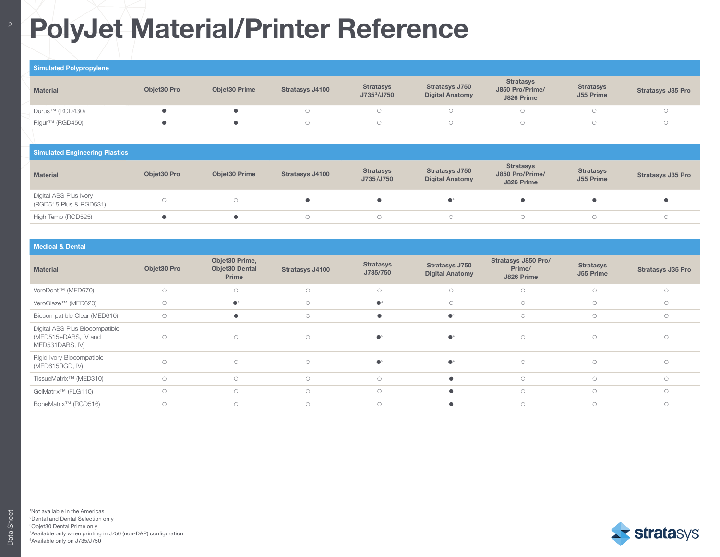# **PolyJet Material/Printer Reference**

### Simulated Polypropylene

| <b>Material</b> | Obiet30 Pro | <b>Obiet30 Prime</b> | <b>Stratasys J4100</b> | <b>Stratasys</b><br>J735 <sup>2</sup> /J750 | <b>Stratasys J750</b><br><b>Digital Anatomy</b> | <b>Stratasys</b><br>J850 Pro/Prime/<br>J826 Prime | <b>Stratasys</b><br>J55 Prime | <b>Stratasys J35 Pro</b> |
|-----------------|-------------|----------------------|------------------------|---------------------------------------------|-------------------------------------------------|---------------------------------------------------|-------------------------------|--------------------------|
| Durus™ (RGD430) |             |                      |                        |                                             |                                                 |                                                   |                               |                          |
| Rigur™ (RGD450) |             |                      |                        |                                             |                                                 |                                                   |                               |                          |

### **Simulated Engineering Plastics**

| <b>Material</b>                                  | Objet30 Pro | Objet30 Prime | <b>Stratasys J4100</b> | <b>Stratasys</b><br>J735/J750 | <b>Stratasys J750</b><br><b>Digital Anatomy</b> | <b>Stratasys</b><br>J850 Pro/Prime/<br>J826 Prime | <b>Stratasys</b><br>J55 Prime | <b>Stratasys J35 Pro</b> |
|--------------------------------------------------|-------------|---------------|------------------------|-------------------------------|-------------------------------------------------|---------------------------------------------------|-------------------------------|--------------------------|
| Digital ABS Plus Ivory<br>(RGD515 Plus & RGD531) |             |               |                        |                               |                                                 |                                                   |                               |                          |
| High Temp (RGD525)                               |             |               |                        |                               |                                                 |                                                   |                               |                          |

#### Medical & Dental Material Objet30 Pro Objet30 Prime, Objet30 Dental Prime Stratasys J4100<br>
Stratasys J4100 J735/750 Stratasys J750 Digital Anatomy Stratasys J850 Pro/ Prime/ J826 Prime Stratasys J55 Prime Stratasys J35 Pro VeroDent™ (MED670) VeroGlaze™ (MED620) <sup>3</sup> <sup>4</sup> Biocompatible Clear (MED610) and the control of the control of the control of the control of the control of the control of the control of the control of the control of the control of the control of the control of the contr Digital ABS Plus Biocompatible (MED515+DABS, IV and MED531DABS, IV)  $\circ$  0  $\circ$  0  $\bullet$   $\bullet$   $\bullet$   $\bullet$  0  $\circ$  0  $\circ$  0 Rigid Ivory Biocompatible (MED615RGD, IV) <sup>5</sup> <sup>4</sup> TissueMatrix™ (MED310) GelMatrix™ (FLG110) BoneMatrix™ (RGD516)



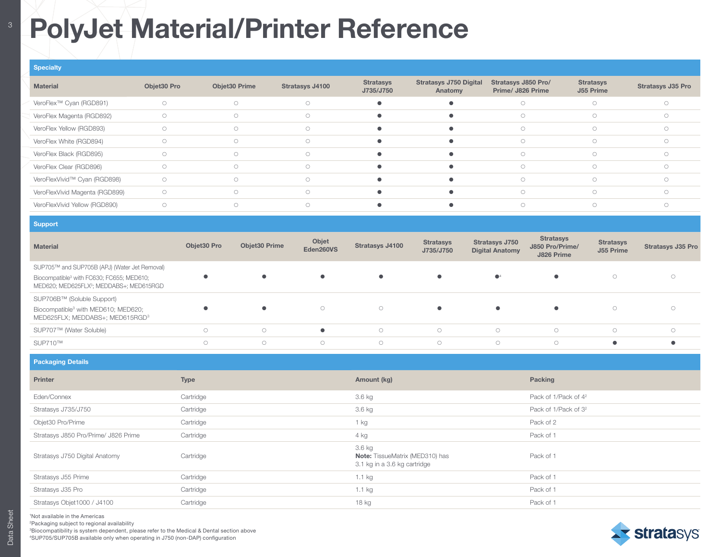## <sup>8</sup> PolyJet Material/Printer Reference

| <b>Specialty</b>                    |             |               |                 |                               |                                          |                                          |                               |                          |
|-------------------------------------|-------------|---------------|-----------------|-------------------------------|------------------------------------------|------------------------------------------|-------------------------------|--------------------------|
| <b>Material</b>                     | Objet30 Pro | Objet30 Prime | Stratasys J4100 | <b>Stratasys</b><br>J735/J750 | <b>Stratasys J750 Digital</b><br>Anatomy | Stratasys J850 Pro/<br>Prime/ J826 Prime | <b>Stratasys</b><br>J55 Prime | <b>Stratasys J35 Pro</b> |
| VeroFlex <sup>™</sup> Cyan (RGD891) | $\bigcirc$  | $\circ$       | $\circ$         |                               |                                          | $\bigcirc$                               | $\bigcirc$                    |                          |
| VeroFlex Magenta (RGD892)           | $\bigcirc$  | $\circ$       | $\circ$         |                               |                                          | $\bigcirc$                               | $\bigcirc$                    |                          |
| VeroFlex Yellow (RGD893)            | O           | $\circ$       | $\circ$         |                               |                                          | $\bigcirc$                               | $\bigcirc$                    |                          |
| VeroFlex White (RGD894)             | O           | $\bigcirc$    | $\circ$         |                               |                                          |                                          |                               |                          |
| VeroFlex Black (RGD895)             | O           | $\bigcirc$    | $\circ$         |                               |                                          | $\bigcap$                                | $\bigcirc$                    |                          |
| VeroFlex Clear (RGD896)             | O           | $\bigcirc$    | $\circ$         |                               |                                          | $\bigcirc$                               | $\bigcirc$                    |                          |
| VeroFlexVivid™ Cyan (RGD898)        | $\circ$     | $\circ$       | $\circ$         |                               |                                          | $\bigcirc$                               | $\cap$                        |                          |
| VeroFlexVivid Magenta (RGD899)      | $\circ$     | $\bigcirc$    | $\bigcirc$      |                               |                                          | $\bigcirc$                               | $\bigcirc$                    |                          |
| VeroFlexVivid Yellow (RGD890)       | $\bigcirc$  | $\circ$       | $\circ$         |                               |                                          | $\bigcirc$                               | $\bigcirc$                    |                          |

| Support                                                                                                       |             |                      |                    |                 |                               |                                                 |                                                   |                               |                          |
|---------------------------------------------------------------------------------------------------------------|-------------|----------------------|--------------------|-----------------|-------------------------------|-------------------------------------------------|---------------------------------------------------|-------------------------------|--------------------------|
| <b>Material</b>                                                                                               | Objet30 Pro | <b>Objet30 Prime</b> | Objet<br>Eden260VS | Stratasys J4100 | <b>Stratasys</b><br>J735/J750 | <b>Stratasys J750</b><br><b>Digital Anatomy</b> | <b>Stratasys</b><br>J850 Pro/Prime/<br>J826 Prime | <b>Stratasys</b><br>J55 Prime | <b>Stratasys J35 Pro</b> |
| SUP705™ and SUP705B (APJ) (Water Jet Removal)                                                                 |             |                      |                    |                 |                               |                                                 |                                                   |                               |                          |
| Biocompatible <sup>3</sup> with FC630; FC655; MED610;<br>MED620; MED625FLX <sup>3</sup> ; MEDDABS+; MED615RGD |             |                      |                    |                 | $\bullet$                     | $\mathbf{O}^4$                                  | $\bullet$                                         | $\circ$                       |                          |
| SUP706B™ (Soluble Support)                                                                                    |             |                      |                    |                 |                               |                                                 |                                                   |                               |                          |
| Biocompatible <sup>3</sup> with MED610; MED620;<br>MED625FLX; MEDDABS+; MED615RGD <sup>3</sup>                |             |                      | $\circ$            | $\circ$         | $\bullet$                     | $\bullet$                                       | $\bullet$                                         | $\circ$                       |                          |
| SUP707™ (Water Soluble)                                                                                       | $\bigcap$   | $\bigcirc$           | $\bullet$          | $\bigcirc$      | $\bigcirc$                    | $\circ$                                         | $\bigcirc$                                        | $\bigcirc$                    | $\bigcirc$               |
| SUP710™                                                                                                       | $\bigcap$   | $\bigcirc$           | $\bigcirc$         | $\bigcirc$      | $\bigcirc$                    | $\circ$                                         | $\bigcirc$                                        | $\bullet$                     |                          |

| <b>Packaging Details</b>             |             |                                                                                  |                                  |
|--------------------------------------|-------------|----------------------------------------------------------------------------------|----------------------------------|
| Printer                              | <b>Type</b> | Amount (kg)                                                                      | Packing                          |
| Eden/Connex                          | Cartridge   | 3.6 kg                                                                           | Pack of 1/Pack of 4 <sup>2</sup> |
| Stratasys J735/J750                  | Cartridge   | 3.6 kg                                                                           | Pack of 1/Pack of 3 <sup>2</sup> |
| Objet30 Pro/Prime                    | Cartridge   | 1 kg                                                                             | Pack of 2                        |
| Stratasys J850 Pro/Prime/ J826 Prime | Cartridge   | 4 kg                                                                             | Pack of 1                        |
| Stratasys J750 Digital Anatomy       | Cartridge   | 3.6 kg<br><b>Note:</b> TissueMatrix (MED310) has<br>3.1 kg in a 3.6 kg cartridge | Pack of 1                        |
| Stratasys J55 Prime                  | Cartridge   | 1.1 kg                                                                           | Pack of 1                        |
| Stratasys J35 Pro                    | Cartridge   | 1.1 kg                                                                           | Pack of 1                        |
| Stratasys Objet1000 / J4100          | Cartridge   | 18 kg                                                                            | Pack of 1                        |

1 Not available in the Americas

2 Packaging subject to regional availability

3Biocompatibility is system dependent, please refer to the Medical & Dental section above

4SUP705/SUP705B available only when operating in J750 (non-DAP) configuration